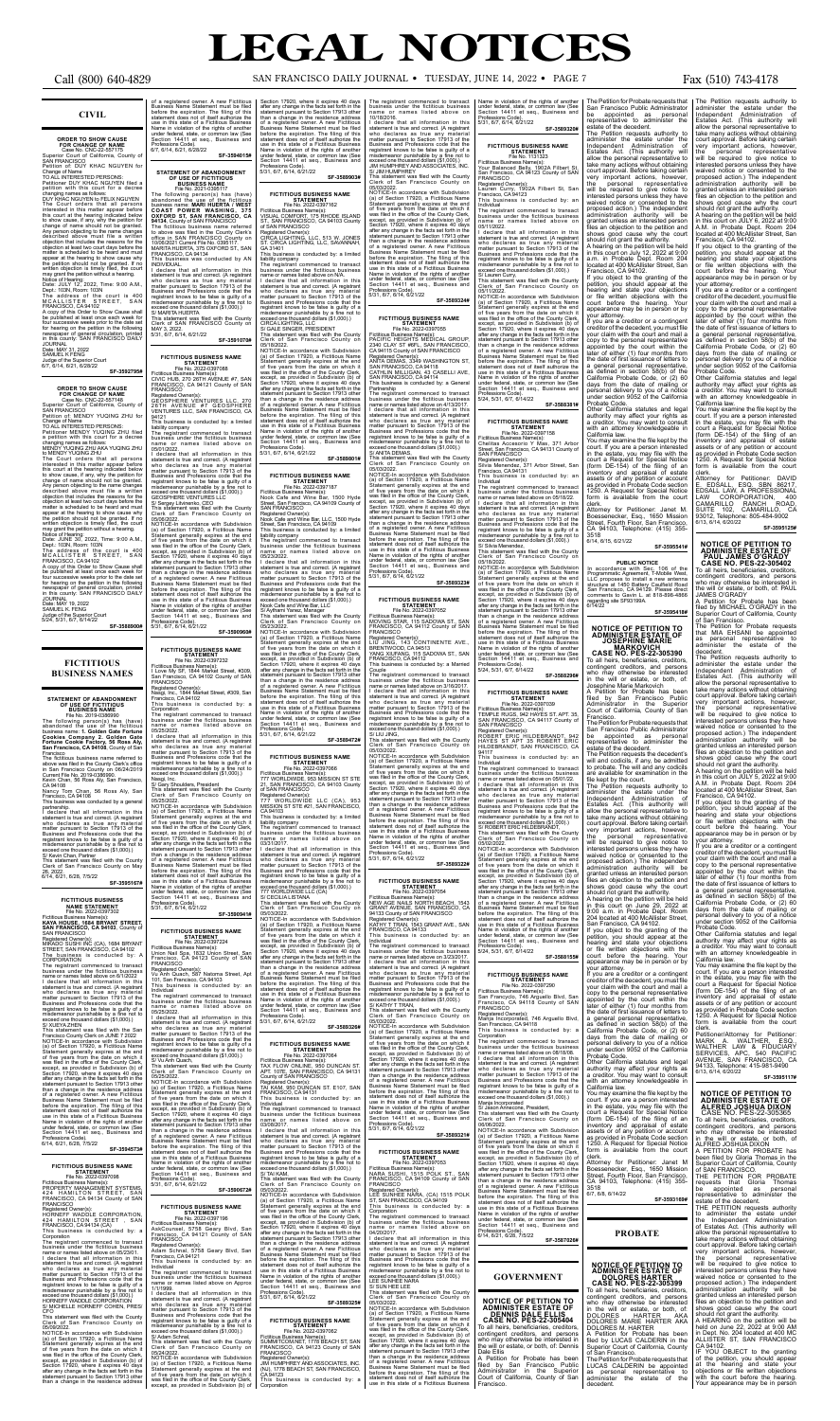### **CIVIL**

**ORDER TO SHOW CAUSE**<br>
Case No. CNC-22-557175<br>
Case No. CNC-22-557175<br>
Superior Court of California, County of<br>
SAN FRANCISCO<br>
POR CHANGE OF California, County of<br>
TOR CHANGE SOME:<br>
TOAL INTERESTED PERSONS:<br>
Change of Name

**FOR CHANGE OF NAME<br>Case No. CNC-22-557148<br>Superior Court of California, County of<br>SAN FRANCISCO** Petition of: MENDY YUQING ZHU for

Change of Name<br>TO ALL INTERESTED PERSONS:

**SF-3592795#**

## **ORDER TO SHOW CAUSE**

TO ALL INTERESTED PERSONS: Petitioner MENDY YUQING ZHU filed a petition with this court for a decree changing names as follows: MENDY YUQING ZHU AKA YUQING ZHU to MENDY YUQING ZHU

The Court orders that all persons<br>interested in this matter appear before<br>this court at the hearing indicated below<br>to show cause, if any, why the petition for<br>change of name should not be granted.<br>Any person objecting to matter is scheduled to be heard and must<br>appear at the hearing to show cause why<br>the petition should not be granted. If no<br>written objection is timely filed, the court<br>may grant the petition without a hearing.<br>Notice of He

Date: JUNE 30, 2022, Time: 9:00 A.M.,<br>Dept.: 108N, Room: 103N<br>The address of the court is 400<br>MCALLISTER STREET, SAN<br>FRANCISCO, CA 94102<br>FRANCISCO, CA 94102<br>A copy of this Order to Show Cause shall<br>be published at least on

The registrant commenced to transact<br>business under the fictitious business<br>name or names listed above on 6/1/2022<br>I declare that all information in this<br>statement is true and correct. (A registrant<br>who declares as true an registrant knows to be false is guilty of a misdemeanor punishable by a fine not to exceed one thousand dollars (\$1,000).) S/ XUEYA ZHEN

This statement was filed with the San<br>Francisco County Clerk on JUNE 7 2022<br>NOTICE-In accordance with Subdivision<br>(a) of Section 17920, a Fictitious Name<br>Statement generally expires at the end<br>of five years from the date o The in this state of a Fictitious Business<br>Name in violation of the rights of another<br>under federal, state, or common law (Section 14411 et seq., Business an Professions Code). 6/14, 6/21, 6/28, 7/5/22

Date: MAY 19, 2022 SAMUEL K. FENG Judge of the Superior Court 5/24, 5/31, 6/7, 6/14/22

**SF-3588900#**

### **FICTITIOUS BUSINESS NAMES**

## **STATEMENT OF ABANDONMENT OF USE OF FICTITIOUS BUSINESS NAME**

File No. 2019-0386990<br>The following person(s) has (have)<br>abandoned the use of the fictitious<br>business name: 1. Golden Gate Fortune<br>Cookies Company 2. Golden Gate<br>Fortune Cookie Factory, 56 Ross Aly,<br>San Francisco, CA 94108

The fictitious business name referred to<br>above was filed in the County Clerk's office<br>in San Francisco County on 06/24/2019<br>Current File No. 2019-0386990.<br>Kevin Chan, 56 Ross Aly, San Francisco,<br>CA 94108<br>Nancy Tom Chan, 56

424 HAMILTON STREET, SAN<br>FRANCISCO, CA 94134 County of SAN<br>FRANCISCO Registered Owner(s): HORNEFF WADDLE CORPORATION, 424 HAMILTON STREET , SAN FRANCISCO, CA 94134 (CA)

Clerk of San Francisco County or 05/09/2022.

of a registered owner. A new Fictitious<br>Business Name Statement must be field<br>before the expiration. The filling of this<br>statement does not of itself authorize the<br>use in this state of a Fictitious Business<br>Name in violati 6/7, 6/14, 6/21, 6/28/22 **SF-3594015#**

## **STATEMENT OF ABANDONMENT<br>
OF USE OF FICTITIOUS<br>
BUSINESS NAME<br>
File No. 2021-0395117**

**SF-3595167#**

FICTITIOUS BUSINESS<br>
File No. 2022-0397302<br>
File No. 2022-0397302<br>
Fictitious Business Name(s):<br>
KAYA HOUSE, 1684 BRYANT STREET,<br>
SAN FRANCISCO, CA 94103, County of<br>
MIKADO SUSHI INC (CA), 1684 BRYANT<br>
STREET, SAN FRANCISC

MAY 3, 2022.<br>5/31, 6/7, 6/14, 6/21/22 **SF-3591070#**

**FICTITIOUS BUSINESS NAME<br>
File No. 2022-0397088**<br>Fictitious Business Name(s):<br>CIVIC HUB, 270 26TH AVENUE #7, SAN<br>
FRANCISCO, CA 94121 County of SAN<br>FRANCISCO, CA 94121 County of SAN

Registered Owner(s):<br>GEOSPHERE VENTURES LLC, 270<br>26TH AVENUE #7 GEOSPHERE<br>VENTURES LLC, SAN FRANCISCO, CA<br>94121

This business is conducted by: a limited<br>liability company<br>liability company<br>The registrant commenced to transact<br>business under the fictitious business<br>of  $50/1/2022$ .<br>If addeter that all information in this<br>statement is

**SF-3594573#**

**FICTITIOUS BUSINESS NAME<br>STATEMENT<br>File No. 2022-0397098<br>Fictitious Business Name(s):<br>PROPERTY MANAGEMENT SYSTEMS,** 

This business is conducted by: a

Corporation The registrant commenced to transact business under the fictitious business name or names listed above on 05/23/01. I declare that all information in this statement is true and correct. (A registrant<br>who declares as true any materia who declares as true any material matter pursuant to Section 17913 of the Business and Professions code that the registrant knows to be false is guilty of a misdemeanor punishable by a fine not to 05/25/2022. NOTICE-In accordance with Subdivision (a) of Section 17920, a Fictitious Name<br>Statious Name<br>Cafe there are ally experiment generally experiment of five years from the date on which it<br>was field in the office of the County Clerk,<br>except, as provided in Subdivis

NOTICE-In accordance with Subdivision (a) of Section 17920, a Fictitious Name Statement generally expires at the end of five years from the date on which it was filed in the office of the County Clerk, except, as provided in Subdivision (b) of Section 17920, where it expires 40 days after any change in the facts set forth in the statement pursuant to Section 17913 other than a change in the residence address

File Mo. 2021-0395117<br>The following person(s) has (have)<br>abandoned the use of the ficitious<br>business name: **MARI HUERTA / WEST<br>COAST POWER WASHING, 375<br>29134, County of SAN FRANCISCO, CA** The fictitious business name referred to above was filed in the County Clerk's office in SAN FRANCISCO County on Fictitious Business Name(s):<br>VISUAL COMFORT, 175 RHODE ISLAND<br>ST., SAN FRANCISCO, CA 94103 County<br>of SAN FRANCISCO Registered Owner(s): CIRCA LIGHTING, LLC, 513 W. JONES ST. CIRCA LIGHTING, LLC, SAVANNAH,

10/06/2021 Current File No. 0395117. MARITA HUERTA, 375 OXFORD ST., SAN FRANCISCO, CA 94134 This business was conducted by AN

INDIVIDUAL.<br>I declare that all information in this I declare that all information in this<br>statement is true and correct. (A registrant<br>who declares as true any material<br>matter pursuant to Section 17913 of the<br>Business and Professions code that the<br>ergistrant knows to be fa liability company The registrant commenced to transact business under the fictitious business name or names listed above on N/A. I declare that all information in this statement is true and correct. (A registrant who declares as true any material matter pursuant to Section 17913 of the Business and Professions code that the registrant knows to be false is guilty of a misdemeanor punishable by a fine not to

I declare that all information in this<br>statement is true and correct. (A registrant last who declares as true any material<br>matter pursuant to Section 17913 of the<br>Business and Professions code that the<br>registrant knows to Professions Code). 5/31, 6/7, 6/14, 6/21/22

**FICTITIOUS BUSINEST<br>
STATEMENT<br>
File No. 2022-0397064<br>Fictitious Business Name(s):<br>TAX FLOW ONLINE, 950 DUNCAN ST.<br>APT. 107E, SAN FRANCISCO, CA 94131<br>County of SAN FRANCISCO** 

exceed one thousand dollars (\$1,000).) HORNEFF WADDLE CORPORATION S/ MICHELLE HORNEFF COHEN, PRES/ CFO This statement was filed with the County statement is true and correct. (A registrant who declares as true any material matter pursuant to Section 17913 of the Business and Professions code that the

This business is conducted by: a

I declare that all information in this<br>statement is true and correct. (A registrant<br>who declares as true any material<br>matter pursuant to Section 17913 of the<br>Business and Professions code that the<br>registrant knows to be fa misdemeanor punishable by a fine not to exceed one thousand dollars (\$1,000).) S/ TAI KAM,

This statement was filed with the County<br>Clerk of San Francisco County on<br>05/03/2022.<br>NOTICE-In accordance with Subdivision<br>(a) of Section 17920, a Fictitious Name<br>Statement generally expires at the end<br>of five years from

I declare that all information in this statement is true and correct. (A registrant who declares as true any material matter pursuant to Section 17913 of the

Nasgi, Inc. S/ Gary Shoulders, President

NOTICE-In accordance with Subdivision<br>(a) of Section 17920, a Ficitious Name<br>Statement generally expires at the end<br>of five years from the date on which it<br>was filed in the office of the County Clerk,<br>except, as provided i Corporation

Section 17920, where it expires 40 days<br>after any change in the facts set of days<br>statement pursuant to Section 17913 other<br>than a change in the residence address<br>of a registered owner. A new Fictitious<br>Business Name State The registrant commenced to transact business under the fictitious business name or names listed above on 10/18/2016.

I declare that all information in this<br>statement is twe and correct. (A registrant<br>who declares as true any material<br>mater pursuant to Section 17913 of the<br>Business and Professions code that the<br>registrant knows to be fals

NOTICE-In accordance with Subdivision<br>(a) of Section 17920, a Ficilitious Name<br>Statement generally expires at the end<br>of five years from the date on which it<br>was filed in the office of the County Clerk,<br>except, as provided

NOTICE-In accordance with Subdivision (a) of Section 17920, a Fictitious Name Statement generally expires at the end of five years from the date on which it was filed in the office of the County Clerk, except, as provided in Subdivision (b) of Section 17920, where it expires 40 days after any change in the facts set forth in the statement pursuant to Section 17913 other than a change in the residence addres of a registered owner. A new Fictitious Business Name Statement must be filed before the expiration. The filing of this statement does not of itself authorize the use in this state of a Fictitious Business Name in violation of the rights of another under federal, state, or common law (See under federal, state, or com-Section 14411 et seq., Business and Professions Code). 5/31, 6/7, 6/14, 6/21/22

**SF-3590941#**

**FICTITIOUS BUSINESS NAME**<br> **STATEMENT**<br>
File No. 2022-0397224<br>Fictitious Business Name(s):<br>Union Nail Spa, 1832 Union Street, San<br>
Francisco, CA 94123 County of SAN

FRANCISCO Registered Owner(s): Vu Anh Quach, 587 Natoma Street, Apt 101, San Francisco, CA 94103 This business is conducted by: an

Professions Code).<br>5/31, 6/7, 6/14, 6/21/22

name or<br>1/1/1999

**FICTITIOUS BUSINESS NAME**<br>
File No. 2022-0397196<br>Fictitious Business Name(s):<br>AskCounsel, 5758 Geary Blvd, San<br>
Francisco, CA 94121 County of SAN<br>
Francisco, CA 94121 County of SAN

05/03/2022<br>And The Scotlance with Subdivision<br>(a) of Section 17920, a Ficititious Name<br>Statement generally expires at the end<br>of five years from the date on which it<br>was field in the office of the County Clerk,<br>except, as than a change in the residence address of a registered owner. A new Fictitious<br>Business Name Statement must be field<br>before the expiration. The filing of this<br>statement does not of itself authorize the<br>use in this state of a Fictitious Business<br>Name in violatio under federal, state, or common law (See Section 14411 et seq., Business and Professions Code). 5/31, 6/7, 6/14, 6/21/22

**SF-3590672#**

Statement generally expires at the end<br>of five years from the date on which it<br>was filed in the office of the County Clerk,<br>except, as provided in Subdivision (b) of<br>Section 17920, where it expires 40 days FRANCISCO, CA 94133 This business is conducted by: an

Registered Owner(s): Adam Schnal, 5758 Geary Blvd, San Francisco, CA 94121 This business is conducted by: an Individual

The registrant commenced to transact business under the fictitious business name or names listed above on Approx

I declare that all information in this

registrant knows to be false is guilty of a misdemeanor punishable by a fine not to exceed one thousand dollars (\$1,000).)

Business and Professions code that the registrant knows to be false is guilty of a misdemeanor punishable by a fine not to exceed one thousand dollars (\$1,000).) This statement was filed with the County Clerk of San Francisco County on 05/25/2022. 777 WORLDWIDE, 953 MISSION ST STE 21, SAN FRANCISCO, CA 94103 County of SAN FRANCISCO

**SF-3589903#**

**FICTITIOUS BUSINESS NAME STATEMENT** File No. 2022-0397162

Name in violation of the rights of another<br>
under federal, state, or common law (See<br>
Section 14411 et seq., Business and<br>
Professions Code).<br>
5/31, 6/7, 6/14, 6/21/22 **SF-3589320#**

business under the fictitious business name or names listed above on 05/11/2022. I declare that all information in this statement is true and correct. (A registrant<br>who declares as true any material<br>matter pursuant to Section 17913 of the<br>Business and Professions code that the<br>registrant knows to be false is guilty of a<br>misdemeanor punishab

Statement generally expires at the end<br>of five years from the date on which it<br>was fied in the office of the County Clerk,<br>except, as provided in Subdivision (b) of<br>Section 17920, where it expires 40 days<br>after any change than a change in the residence address of a registered owner. A new Fictitious<br>Business Name Statement must be filed<br>before the expiration. The filing of this<br>statement does not of itself authorize the<br>suse in this state of a Fictitious Business<br>Name in violati

GA 31401 This business is conducted by: a limited

exceed one thousand dollars (\$1,000).) CIRCA LIGHTING, LLC S/ GALE SINGER, PRESIDENT

This statement was filed with the County<br>Clerk of San Francisco County on<br>S/18/2022.<br>NOTICE-In accordance with Subdivision<br>(a) of Section 17920, a Fictitious Name<br>Statement generally expires at the end<br>of five years from t

under federal, state, or common law (See<br>Section 14411 et seq., Business and

**FICTITIOUS BUSINEST<br>
STATEMENT**<br>
File No. 2022-0397187<br>
Fictitious Business Name(s):<br>
Nook Cafe and Wine Bar, 1500 Hyde<br>
STATE RANCISCO, CA 94109 County of<br>
STATE: San Francisco, CA 94109 County of

Individual The registrant commenced to transact business under the fictitious business name or names listed above on 05/25/2022. than a change in the residence address<br>of a registered owner. A new Fictitious<br>Business Name Statement must be filed<br>before the expiration. The filing of this<br>statement does not of itself authorize the<br>use in this state of Name in violation of the rights of anothe under federal, state, or common law (See Section 14411 et seq., Business and

Professions Code). 5/31, 6/7, 6/14, 6/21/22

Professions Code).<br>5/31, 6/7, 6/14, 6/21/22

**SF-3589801#**

**FICTITIOUS BUSINESS NAME<br>STATEMENT:<br>File No. 2022-0397039<br>Fictitious Business Name(s):<br>TEMPLE RUGS, 942 HAYES ST. APT. 35,** SAN FRANCISCO, CA 94117 County of SAN FRANCISCO

Individual The registrant commenced to transact business under the fictitious business name or names listed above on 05/01/22. I declare that all information in this statement is true and correct. (A registrant who declares as true any material matter pursuant to Section 17913 of the are available for examination in the file kept by the court. The Petition requests authority to

Registered Owner(s): Nook Cafe and Wine Bar, LLC, 1500 Hyde Street, San Francisco, CA 94109 This business is conducted by: a limited

liability company The registrant commenced to transact business under the fictitious business name or names listed above on 05/23/2022.

**FICTITIOUS BUSINESS NAME**<br>
File No. 2022-0397232<br>
Fictitious Business Name(s):<br>
I Love My SF, 1844 Market Street, #309,<br>
San Francisco, CA 94102 County of SAN<br>
FRANCISCO Registered Owner(s): Nasgi, Inc., 1844 Market Street, #309, San Francisco, CA 94102 Corporation The registrant commenced to transact business under the fictitious business name or names listed above on 05/25/2022. I declare that all information in this statement is true and correct. (A registrant who declares as true any material musics as trues and Professions code that the misdemeanor punishable by a fine not to misdemeanor punish

> 06/06/2022. NOTICE-In accordance with Subdivision (a) of Section 17920, a Fictitious Name Statement generally expires at the end of five years from the date on which it was filed in the office of the County Clerk, except, as provided in Subdivision (b) of Section 17920, where it expires 40 days after any change in the facts set forth in the statement pursuant to Section 17913 other<br>than a change in the residence address<br>of a registered owner. A new Fictitious<br>Business Name Statement must be filed<br>before the expiration. The filing of this<br>statement does not of

S/ Adam Schnal, This statement was filed with the County Clerk of San Francisco County on 05/24/2022. **FICTITIOUS BUSINESS NAME<br>
STATEMENT<br>
File No. 2022-0397062<br>Fictitious Business Name(s):<br>SUMMITCOM.NET, 1778 BEACH ST, SAN<br>SNAMITCOM.NET, 1778 BEACH ST, SAN<br>FRANCISCO, CA 94123 County of SAN** FRANCISCO Registered Owner(s): JIM HUMPHREY AND ASSOCIATES, INC.

**SF-3589472#**

## **FICTITIOUS BUSINESS NAME<br>STATEMENT<br>File No. 2022-0397066**

Registered Owner(s): 777 WORLDWIDE LLC (CA), 953 MISSION ST STE #21, SAN FRANCISCO,

CA 94103

This business is conducted by: a limited liability company The registrant commenced to transact business under the fictitious business

05/03/2022.

after any change in the facts set forth in the statement pursuant to Section 17913 other

court a Request for Special Notice<br>(form DE-154) of the filing of an<br>inventory and appraisal of estate<br>assets or of any petition or account<br>as provided in Probate Code section 1250. A Request for Special Notice form is available from the court

**SF-3589326#**

r rancisco.<br>The Petition for Probate requests that San Francisco Public Administrator be appointed as personal representative to administer the estate of the decedent. The Petition requests the decedent's will and codicils, if any, be admitted to probate. The will and any codicils

Registered Owner(s): TAI KAM, 950 DUNCAN ST. E107, SAN FRANCISCO, CA 94131 This business is conducted by: an

Individual The registrant commenced to transact business under the fictitious business name or names listed above on 03/08/2017.

your attorney. If you are a creditor or a contingent creditor of the decedent, you must file your claim with the court and mail a copy to the personal representative appointed by the court within the later of either (1) four months from the date of first issuance of letters to a general personal representative, as defined in section 58(b) of the California Probate Code, or (2) 60 days from the date of mailing or personal delivery to you of a notice under section 9052 of the California Probate Code. r robate Coue.<br>Other California statutes and legal

authority may affect your rights as a creditor. You may want to consult<br>with an attorney knowledgeable in

with an attorney knowledgeable in<br>California law.<br>You may examine the file kept by the<br>court. If you are a person interested<br>in the estate, you may file with the<br>court a Request for Special Notice<br>(form DE-154) of the fili inventory and appraisal of estate assets or of any petition or account as provided in Probate Code section 1250. A Request for Special Notice form is available from the court clerk.

LUCAS CALDERIN be appointed as personal representative to administer the estate of the decedent.

### **SF-3589325#**

(NJ), 1778 BEACH ST, SAN FRANCISCO, CA 94123 This business is conducted by: a

shows good cause why the court<br>should not grant the authority.<br>A hearing on the petition will be held<br>in this court on July 12, 2022 at 9:00<br>a.m. in Probate Dept. Room 204<br>located at 400 McAllister Street, San Francisco, CA 94102. If you object to the granting of the A hearing on the petition will be held in this court on JULY 6, 2022 at 9:00 A.M. in Probate Dept. Room 204 located at 400 McAllister Street, San Francisco, CA 94102. If you object to the granting of the petition, you should appear at the hearing and state your objections or file written objections with the court before the hearing. Your appearance may be in person or by

> LAW COROPORATION, 400<br>CAMARILLO RANCH ROAD,<br>SUITE 102, CAMARILLO, CA 93012, Telephone: 805-484-9002 6/13, 6/14, 6/20/22

name or names listed above on 03/31/2017. I declare that all information in this statement is true and correct. (A registrant who declares as true any material matter pursuant to Section 17913 of the Business and Professions code that the registrant knows to be false is guilty of a misdemeanor punishable by a fine not to exceed one thousand dollars (\$1,000).) 777 WORLDWIDE LLC (CA) 5/31, 6/7, 6/14, 6/21/22

S/ CECILIA LISTANA This statement was filed with the County Clerk of San Francisco County on NOTICE-In accordance with Subdivision (a) of Section 17920, a Fictitious Name **FICTITIOUS BUSINESS NAME STATEMENT File No. 2022-0397054** Fictitious Business Name(s): NEW AGE NAILS NORTH BEACH, 1543 GRANT AVENUE, SAN FRANCISCO, CA 94133 County of SAN FRANCISCO Registered Owner(s): KATHY T TRAN, 1543 GRANT AVE., SAN

**SF-3589324#**

## **FICTITIOUS BUSINESS NAME**

**STATEMENT<br>File No. 2022-0397055<br>Fictitious Business Name(s):<br>PACIFIC HEIGHTS MEDICAL GROUP,<br>2340 CLAY ST #6FL, SAN FRANCISCO,<br>CA 94115 County of SAN FRANCISCO** 

Registered Owner(s):<br>ANITA DEMAS, 3349 WASHINGTON ST,<br>SAN FRANCISCO, CA 94118<br>CATHLIN MILLIGAN, 43 CASELLI AVE,<br>SAN FRANCISCO, CA 94114<br>This business is conducted by: a General

Partnership The registrant commenced to transact business under the fictitious business name or names listed above on 4/13/2017. I declare that all information in this statement is true and correct. (A registrant

who declares as true any material<br>matter pursuant to Section 17913 of the<br>Business and Professions code that the<br>registrant knows to be false is guilty of a<br>misdemeanor punishable by a fine not to<br>exceed one thousand dolla

This statement was filed with the County Clerk of San Francisco County on

**SF-3589323#**

FICTITIOUS BUSINESS<br>
File No. 2022-0397052<br>
Fictitious Business Name(s):<br>
Fictitious Business Name(s):<br>
MOVING STAR, 115 SADOWA ST., SAN<br>
FRANCISCO, CA 94112 County of SAN<br>
FRANCISCO, CA 94513<br>
LIU JING, 143 CONTINENTE AVE

The registrant commenced to transact<br>business under the fictitious business<br>name or names listed above on 3/16/2017.<br>I declare that all information in this<br>statement is true and correct. (A registrant<br>matter pursuant to Se

Clerk of San Francisco County on<br>
Clerk of San Francisco County on<br>
Clerk of Scotion 17920, a Fictlitous Name<br>
Statement generally expires at the end<br>
Statement generally expires at the end<br>
of five years from the date on

**SF-3589322#**

Individual The registrant commenced to transact business under the fictitious business name or names listed above on 3/23/2017. I declare that all information in this statement is true and correct. (A registrant who declares as true any material matter pursuant to Section 17913 of the Business and Professions code that the registrant knows to be false is guilty of a misdemeanor punishable by a fine not to exceed one thousand dollars (\$1,000).) S/ KATHY T TRAN,

This statement was filed with the County Clerk of San Francisco County on

05/03/2022. NOTICE-In accordance with Subdivision (a) of Section 17920, a Fictitious Name Statement generally expires at the end<br>of five years from the date on which it<br>was filed in the office of the County Clerk,<br>except, as provided in Subdivision (b) of<br>Section 17920, where it expires 40 days<br>after any change than a change in the residence address of a registered owner. A new Fictitious Business Name Statement must be filed before the expiration. The filing of this statement does not of itself authorize the use in this state of a Fictitious Business Name in violation of the rights of another under federal, state, or common law (See Section 14411 et seq., Business and Professions Code). 5/31, 6/7, 6/14, 6/21/22

**SF-3589321#**

FICTITIOUS BUSINESS NAME<br>
File No. 2022-0397053<br>
Fictitious Business Name(s):<br>
Fictitious Business Name(s):<br>
NARA SUSHI, 1515 POLK ST., SAN<br>
FRANCISCO, CA 94109 County of SAN<br>
FRANCISCO, CA 94109 County of SAN<br>
Registered

Corporation The registrant commenced to transact business under the fictitious business name or names listed above on 04/20/2017.

I declare that all information in this statement is true and correct. (A registrant<br>matter pursuant to Section 17913 of the<br>Business and Professions code that the<br>registrant knows to be false is guilty of a misdemeanor punishable by a fine not to exceed one thousand dollars (\$1,000).) LEE SUNHEE NARA S/ SUN HEE LEE

This statement was filed with the County<br>
Clerk of San Francisco County on<br>
Clerk of San Francisco County on<br>
05/03/2022.<br>
NOTICE-In accordance with Subdivision<br>
(a) of Section 17920, a Fictitious Name<br>
Statement generally

Business and Professions code that the registrant knows to be false is guilty of a misdemeanor punishable by a fine not to exceed one thousand dollars (\$1,000).)<br>exceed one thousand dollars (\$1,000).)<br>S/ ROBERT ERIC HILDEB

## **FICTITIOUS BUSINESS NAME STATEMENT**

File No. 1131323<br>Fictitious Business Name(s):<br>Your Balanced Belly, 1902A Filbert St,<br>San Francisco, CA 94123 County of SAN<br>FRANCISCO<br>Registered Owner(s):<br>Lauren Curry, 1902A Filbert St, San<br>This business is conducted by: a

Individual The registrant commenced to transact

Professions Code). 5/24, 5/31, 6/7, 6/14/22

**SF-3588381#**

**SF-3588296#**

Registered Owner(s): ROBERT ERIC HILDEBRANDT, 942 HAYES ST APT 35 ROBERT ERIC HILDEBRANDT, SAN FRANCISCO, CA

94117 This business is conducted by: an

This statement was filed with the County Clerk of San Francisco County on 05/02/2022.

NOTICE-In accordance with Subdivision (a) of Section 17920, a Fictitious Name Statement generally expires at the end of five years from the date on which it was filed in the office of the County Clerk, except, as provided in Subdivision (b) of<br>Section 17920, where it expires 40 days<br>after any change in the facts set forth in the<br>statement pursuant to Section 17913 other than a change in the residence address<br>of a registered owner. A new Fictitious<br>Business Name Statement must be filed<br>before the expiration. The filing of this<br>statement does not of itself authorize the<br>use in this state of in violation of the rights of another under federal, state, or common law (See Section 14411 et seq., Business and Professions Code). 5/24, 5/31, 6/7, 6/14/22

**SF-3588155#**

## **FICTITIOUS BUSINESS NAME**

**STATEMENT<br>File No. 2022-0397290<br>Fictitious Business Name(s):<br>San Francyclo, 746 Arguello Blvd, San<br>Francisco, CA 94118 County of SAN** Francisco, (<br>FRANCISCO

Registered Owner(s): Manja Incorporated, 746 Arguello Blvd, San Francisco, CA 94118 This business is conducted by: a

Corporation The registrant commenced to transact business under the fictitious business name or names listed above on 08/18/08. I declare that all information in this statement is true and correct. (A registrant who declares as true any material matter pursuant to Section 17913 of the Business and Professions code that the registrant knows to be false is guilty of a misdemeanor punishable by a fine not to exceed one thousand dollars (\$1,000).)

Manja Incorporated S/ Jason Annecone, President, This statement was filed with the County Clerk of San Francisco County on

Professions Code). 6/14, 6/21, 6/28, 7/5/22 **SF-3587026#**



**NOTICE OF PETITION TO ADMINISTER ESTATE OF DENNIS DALE ELLIS**

**CASE NO. PES-22-305404** To all heirs, beneficiaries, creditors, contingent creditors, and persons who may otherwise be interested in the will or estate, or both, of: Dennis

Dale Ellis A Petition for Probate has been filed by San Francisco Public Administrator in the Superior Court of California, County of San Francisco. The Petition for Probate requests that San Francisco Public Administrator be appointed as personal representative to administer the

petition, you should appear at the hearing and state your objections or file written objections with the court before the hearing. Your appearance may be in person or by

your attorney. If you are a creditor or a contingent creditor of the decedent, you must file your claim with the court and mail a copy to the personal representative appointed by the court within the later of either (1) four months from the date of first issuance of letters to a general personal representative,<br>as defined in section 58(b) of the as defined in section 58(b) of the California Probate Code, or (2) 60 days from the date of mailing or personal delivery to you of a notice under section 9052 of the California Probate Code. Other California statutes and legal authority may affect your rights as a creditor. You may want to consult with an attorney knowledgeable in

California law.

You may examine the file kept by the court. If you are a person interested in the estate, you may file with the

clerk.

Attorney for Petitioner: Janet M. Boessenecker, Esq., 1650 Mission Street, Fourth Floor, San Francisco, CA 94103, Telephone: (415) 355-

3518 6/14, 6/15, 6/21/22

FICTITIOUS BUSINESS NAME<br>
File No. 2022-0397158<br>
Ficitious Business Name(s):<br>
Frictitious Business Name(s):<br>
Chelitas Accesorio Y Mas, 371 Arbor<br>
Street, San Francisco, CA 94131 County of<br>
Registered Owner(s):<br>
Silvia Mene

The registrant commenced to transact<br>business under the fictitious business<br>name or names listed above on 05/18/22.<br>I declare that all information in this<br>statement is true and correct. (A registrant<br>mather pursuant to Sec

NOTICE-In accordance with Subdivision<br>(a) of Section 17920, a Fictitious Name<br>Statement generally expires at the end<br>of five years from the date on which it<br>was filed in the office of the County Clerk,<br>except, as provided Secuoli 1571, S. 2016<br>Professions Code).<br>5/24, 5/31, 6/7, 6/14/22

**SF-3595541#**

**PUBLIC NOTICE**

In accordance with Sec. 106 of the<br>Programmatic Agreement, T-Mobile West,<br>LLC proposes to install a new antenna<br>structure at 1450 Battery Caulfield Road<br>San Francisco, CA 94129. Please direct<br>comments to Gavin L. at 818-89

**SF-3595418#**

partnership.<br>I declare that all information in this<br>statement is true and correct. (A registrant<br>who declares as true any material<br>matter pursuant to Section 17913 of the<br>Business and Professions code that the<br>registrant k

Clerk of San Francisco<br>26, 2022.<br>6/14, 6/21, 6/28, 7/5/22

**NOTICE OF PETITION TO ADMINISTER ESTATE OF JOSEPHINE MARIE MARKOVICH CASE NO. PES-22-305390**

To all heirs, beneficiaries, creditors, contingent creditors, and persons who may otherwise be interested in the will or estate, or both, of:

Josephine Marie Markovich A Petition for Probate has been filed by San Francisco Public Administrator in the Superior Court of California, County of San

Francisco.

administer the estate under the Independent Administration of Estates Act. (This authority will allow the personal representative to take many actions without obtaining court approval. Before taking certain very important actions, however, the personal representative will be required to give notice to interested persons unless they have waived notice or consented to the proposed action.) The independent administration authority will be granted unless an interested person files an objection to the petition and shows good cause why the court should not grant the authority.

A hearing on the petition will be held in this court on June 29, 2022 at 9:00 a.m. in Probate Dept. Room 204 located at 400 McAllister Street, San Francisco, CA 94102.

If you object to the granting of the petition, you should appear at the hearing and state your objections or file written objections with the court before the hearing. Your appearance may be in person or by

Attorney for Petitioner: Janet M Boessenecker, Esq., 1650 Mission Street, Fourth Floor, San Francisco, CA 94103, Telephone: (415) 355- 3518 6/7, 6/8, 6/14/22

**SF-3593169#**

**PROBATE**

# **NOTICE OF PETITION TO ADMINISTER ESTATE OF DOLORES HARTER CASE NO. PES-22-305399**

To all heirs, beneficiaries, creditors, contingent creditors, and persons who may otherwise be interested in the will or estate, or both, of: DOLORES HARTER AKA DOLORES MARIE HARTER AKA DOLORES M. HARTER

A Petition for Probate has been filed by LUCAS CALDERIN in the Superior Court of California, County of San Francisco. The Petition for Probate requests that The Petition requests authority to administer the estate under the Independent Administration of Estates Act. (This authority will allow the personal representative to

take many actions without obtaining<br>court approval. Before taking certain<br>very important actions, however,<br>the personal representative<br>will be required to give notice to<br>interested persons unless they have<br>waived notice or

proposed action.) The independent administration authority will be granted unless an interested person files an objection to the petition and shows good cause why the court should not grant the authority.

your attorney. If you are a creditor or a contingent creditor of the decedent, you must file your claim with the court and mail a

copy to the personal representative appointed by the court within the later of either (1) four months from the date of first issuance of letters to a general personal representative, as defined in section 58(b) of the California Probate Code, or (2) 60 days from the date of mailing or personal delivery to you of a notice under section 9052 of the California Probate Code. Other California statutes and legal authority may affect your rights as a creditor. You may want to consult with an attorney knowledgeable in California law. You may examine the file kept by the

court. If you are a person interested in the estate, you may file with the court a Request for Special Notice (form DE-154) of the filing of an

inventory and appraisal of estate assets or of any petition or account as provided in Probate Code section 1250. A Request for Special Notice form is available from the court

clerk.

Attorney for Petitioner: DAVID E. EDSALL, ESQ. SBN 86217, EDSALL LAW, A PROFESSIONAL

**SF-3595125#**

estate of the decedent.<br>The Petition requests authority to<br>administer the estate under the<br>Independent Administration of<br>Estates Act. (This authority will allow the personal representative to take many actions without obtaining court approval. Before taking certain very important actions, however, the personal representative will be required to give notice to interested persons unless they have waived notice or consented to the<br>proposed action.) The independent<br>granted unless an interested person<br>files an objection to the petition and<br>files an objection to the petition and

**NOTICE OF PETITION TO ADMINISTER ESTATE OF PAUL JAMES O'GRADY CASE NO. PES-22-305402**

To all heirs, beneficiaries, creditors, contingent creditors, and persons

who may otherwise be interested in the will or estate, or both, of: PAUL JAMES O'GRADY A Petition for Probate has been

filed by MICHAEL O'GRADY in the<br>Superior Court of California, County<br>of San Francisco.<br>The Petition for Probate requests<br>that MIA EHSANI be appointed

as personal representative to administer the estate of the decedent. The Petition requests authority to administer the estate under the Independent Administration of Estates Act. (This authority will

allow the personal representative to take many actions without obtaining court approval. Before taking certain very important actions, however,

the personal representative<br>will be required to give notice to<br>interested persons unless they have<br>waived notice or consented to the<br>proposed action.) The independent

administration authority will be granted unless an interested person files an objection to the petition and

shows good cause why the court<br>should not grant the authority.<br>A hearing on the petition will be held<br>in this court on JULY 5, 2022 at 9:00<br>A.M. in Probate Dept. Room 204<br>located at 400 McAllister Street, San

Francisco, CA 94102.

petition, you should appear at the hearing and state your objections or file written objections with the court before the hearing. Your appearance may be in person or by your attorney. If you are a creditor or a contingent

If you object to the granting of the

creditor of the decedent, you must file your claim with the court and mail a copy to the personal representative appointed by the court within the later of either (1) four months from the date of first issuance of letters to a general personal representative, as defined in section 58(b) of the California Probate Code, or (2) 60 days from the date of mailin personal delivery to you of a notice under section 9052 of the California

Probate Code. Other California statutes and legal authority may affect your rights as a creditor. You may want to consult with an attorney knowledgeable in California law.

You may examine the file kept by the court. If you are a person interested<br>in the estate, you may file with the<br>court a Request for Special Notice<br>(form DE-154) of the filing of an<br>inventory and appraisal of estate<br>assets or of any petition or account<br>as prov form is available from the court clerk.

Petitioner/Attorney for Petitioner: MARK A. WALTHER, ESQ.,<br>WALTHER LAW & FIDUCIARY<br>SERVICES, APC, 540 PACIFIC AVENUE, SAN FRANCISCO, CA 94133, Telephone: 415-981-9490 6/13, 6/14, 6/20/22

**SF-3595117#**

**NOTICE OF PETITION TO<br>
<b>ADMINISTER ESTATE OF**<br>
CASE NO. PES-22-305365<br>
To all heirs, beneficiaries, creditors,

contingent creditors, and persons who may otherwise be interested in the will or estate, or both, of ALFRED JOSHUA DIXON A PETITION FOR PROBATE has

been filed by Gloria Thomas in the Superior Court of California, County of SAN FRANCISCO.

THE PETITION FOR PROBATE requests that Gloria Thomas be appointed as personal representative to administer the

estate of the decedent. THE PETITION requests authority to administer the estate under the Independent Administration of Estates Act. (This authority will allow the personal representative to take many actions without obtaining court approval. Before taking certain very important actions, however,<br>the personal representative the personal representative will be required to give notice to interested persons unless they have waived notice or consented to the proposed action.) The independent administration authority will be granted unless an interested person files an objection to the petition and shows good cause why the court

should not grant the authority. A HEARING on the petition will be held on June 22, 2022 at 9:00 AM in Dept. No. 204 located at 400 MC ALLISTER ST, SAN FRANCISCO

CA 94102. IF YOU OBJECT to the granting of the petition, you should appear at the hearing and state your objections or file written objections with the court before the hearind Your appearance may be in person

Professions Code).<br>5/31, 6/7, 6/14, 6/21/22

# **LEGAL NOTICES**

Call (800) 640-4829 san francisco Daily Journal •TUESDAY, JUNE 14, 2022 •Page 7 Fax (510) 743-4178